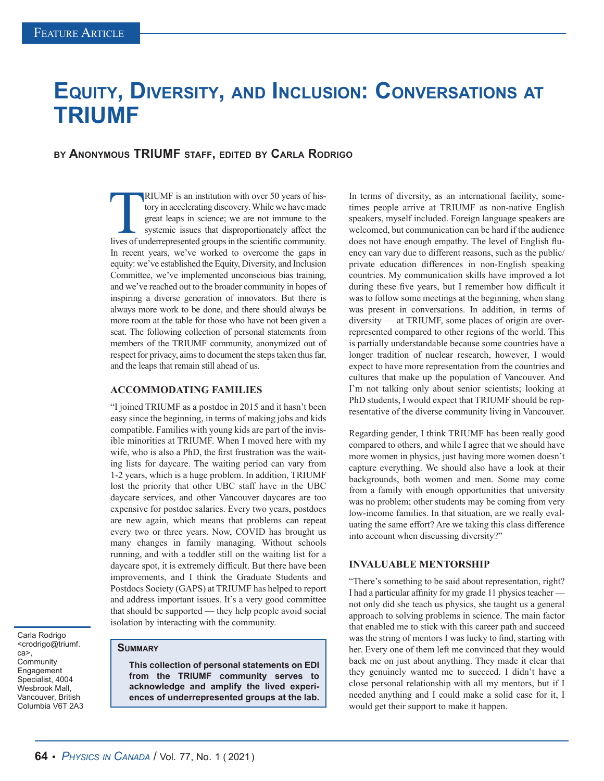# **Equity, Diversity, and Inclusion: Conversations at TRIUMF**

## **by Anonymous TRIUMF staff, edited by Carla Rodrigo**

RIUMF is an institution with over 50 years of his-<br>tory in accelerating discovery. While we have made<br>great leaps in science; we are not immune to the<br>systemic issues that disproportionately affect the<br>lives of underrepres tory in accelerating discovery. While we have made great leaps in science; we are not immune to the systemic issues that disproportionately affect the lives of underrepresented groups in the scientific community. In recent years, we've worked to overcome the gaps in equity: we've established the Equity, Diversity, and Inclusion Committee, we've implemented unconscious bias training, and we've reached out to the broader community in hopes of inspiring a diverse generation of innovators. But there is always more work to be done, and there should always be more room at the table for those who have not been given a seat. The following collection of personal statements from members of the TRIUMF community, anonymized out of respect for privacy, aims to document the steps taken thus far, and the leaps that remain still ahead of us.

#### **ACCOMMODATING FAMILIES**

"I joined TRIUMF as a postdoc in 2015 and it hasn't been easy since the beginning, in terms of making jobs and kids compatible. Families with young kids are part of the invisible minorities at TRIUMF. When I moved here with my wife, who is also a PhD, the first frustration was the waiting lists for daycare. The waiting period can vary from 1-2 years, which is a huge problem. In addition, TRIUMF lost the priority that other UBC staff have in the UBC daycare services, and other Vancouver daycares are too expensive for postdoc salaries. Every two years, postdocs are new again, which means that problems can repeat every two or three years. Now, COVID has brought us many changes in family managing. Without schools running, and with a toddler still on the waiting list for a daycare spot, it is extremely difficult. But there have been improvements, and I think the Graduate Students and Postdocs Society (GAPS) at TRIUMF has helped to report and address important issues. It's a very good committee that should be supported — they help people avoid social isolation by interacting with the community.

Carla Rodrigo <crodrigo@triumf. ca>, **Community** Engagement Specialist, 4004 Wesbrook Mall, Vancouver, British Columbia V6T 2A3

## **Summary**

**This collection of personal statements on EDI from the TRIUMF community serves to acknowledge and amplify the lived experiences of underrepresented groups at the lab.**

In terms of diversity, as an international facility, sometimes people arrive at TRIUMF as non-native English speakers, myself included. Foreign language speakers are welcomed, but communication can be hard if the audience does not have enough empathy. The level of English fluency can vary due to different reasons, such as the public/ private education differences in non-English speaking countries. My communication skills have improved a lot during these five years, but I remember how difficult it was to follow some meetings at the beginning, when slang was present in conversations. In addition, in terms of diversity — at TRIUMF, some places of origin are overrepresented compared to other regions of the world. This is partially understandable because some countries have a longer tradition of nuclear research, however, I would expect to have more representation from the countries and cultures that make up the population of Vancouver. And I'm not talking only about senior scientists; looking at PhD students, I would expect that TRIUMF should be representative of the diverse community living in Vancouver.

Regarding gender, I think TRIUMF has been really good compared to others, and while I agree that we should have more women in physics, just having more women doesn't capture everything. We should also have a look at their backgrounds, both women and men. Some may come from a family with enough opportunities that university was no problem; other students may be coming from very low-income families. In that situation, are we really evaluating the same effort? Are we taking this class difference into account when discussing diversity?"

#### **INVALUABLE MENTORSHIP**

"There's something to be said about representation, right? I had a particular affinity for my grade 11 physics teacher not only did she teach us physics, she taught us a general approach to solving problems in science. The main factor that enabled me to stick with this career path and succeed was the string of mentors I was lucky to find, starting with her. Every one of them left me convinced that they would back me on just about anything. They made it clear that they genuinely wanted me to succeed. I didn't have a close personal relationship with all my mentors, but if I needed anything and I could make a solid case for it, I would get their support to make it happen.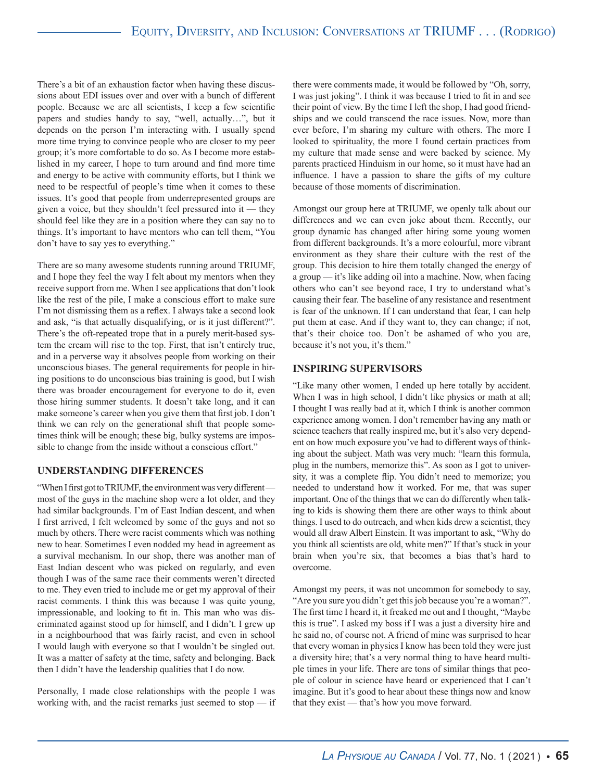There's a bit of an exhaustion factor when having these discussions about EDI issues over and over with a bunch of different people. Because we are all scientists, I keep a few scientific papers and studies handy to say, "well, actually…", but it depends on the person I'm interacting with. I usually spend more time trying to convince people who are closer to my peer group; it's more comfortable to do so. As I become more established in my career, I hope to turn around and find more time and energy to be active with community efforts, but I think we need to be respectful of people's time when it comes to these issues. It's good that people from underrepresented groups are given a voice, but they shouldn't feel pressured into it — they should feel like they are in a position where they can say no to things. It's important to have mentors who can tell them, "You don't have to say yes to everything."

There are so many awesome students running around TRIUMF, and I hope they feel the way I felt about my mentors when they receive support from me. When I see applications that don't look like the rest of the pile, I make a conscious effort to make sure I'm not dismissing them as a reflex. I always take a second look and ask, "is that actually disqualifying, or is it just different?". There's the oft-repeated trope that in a purely merit-based system the cream will rise to the top. First, that isn't entirely true, and in a perverse way it absolves people from working on their unconscious biases. The general requirements for people in hiring positions to do unconscious bias training is good, but I wish there was broader encouragement for everyone to do it, even those hiring summer students. It doesn't take long, and it can make someone's career when you give them that first job. I don't think we can rely on the generational shift that people sometimes think will be enough; these big, bulky systems are impossible to change from the inside without a conscious effort."

## **UNDERSTANDING DIFFERENCES**

"When I first got to TRIUMF, the environment was very different most of the guys in the machine shop were a lot older, and they had similar backgrounds. I'm of East Indian descent, and when I first arrived, I felt welcomed by some of the guys and not so much by others. There were racist comments which was nothing new to hear. Sometimes I even nodded my head in agreement as a survival mechanism. In our shop, there was another man of East Indian descent who was picked on regularly, and even though I was of the same race their comments weren't directed to me. They even tried to include me or get my approval of their racist comments. I think this was because I was quite young, impressionable, and looking to fit in. This man who was discriminated against stood up for himself, and I didn't. I grew up in a neighbourhood that was fairly racist, and even in school I would laugh with everyone so that I wouldn't be singled out. It was a matter of safety at the time, safety and belonging. Back then I didn't have the leadership qualities that I do now.

Personally, I made close relationships with the people I was working with, and the racist remarks just seemed to stop  $-$  if there were comments made, it would be followed by "Oh, sorry, I was just joking". I think it was because I tried to fit in and see their point of view. By the time I left the shop, I had good friendships and we could transcend the race issues. Now, more than ever before, I'm sharing my culture with others. The more I looked to spirituality, the more I found certain practices from my culture that made sense and were backed by science. My parents practiced Hinduism in our home, so it must have had an influence. I have a passion to share the gifts of my culture because of those moments of discrimination.

Amongst our group here at TRIUMF, we openly talk about our differences and we can even joke about them. Recently, our group dynamic has changed after hiring some young women from different backgrounds. It's a more colourful, more vibrant environment as they share their culture with the rest of the group. This decision to hire them totally changed the energy of a group — it's like adding oil into a machine. Now, when facing others who can't see beyond race, I try to understand what's causing their fear. The baseline of any resistance and resentment is fear of the unknown. If I can understand that fear, I can help put them at ease. And if they want to, they can change; if not, that's their choice too. Don't be ashamed of who you are, because it's not you, it's them."

## **INSPIRING SUPERVISORS**

"Like many other women, I ended up here totally by accident. When I was in high school, I didn't like physics or math at all; I thought I was really bad at it, which I think is another common experience among women. I don't remember having any math or science teachers that really inspired me, but it's also very dependent on how much exposure you've had to different ways of thinking about the subject. Math was very much: "learn this formula, plug in the numbers, memorize this". As soon as I got to university, it was a complete flip. You didn't need to memorize; you needed to understand how it worked. For me, that was super important. One of the things that we can do differently when talking to kids is showing them there are other ways to think about things. I used to do outreach, and when kids drew a scientist, they would all draw Albert Einstein. It was important to ask, "Why do you think all scientists are old, white men?" If that's stuck in your brain when you're six, that becomes a bias that's hard to overcome.

Amongst my peers, it was not uncommon for somebody to say, "Are you sure you didn't get this job because you're a woman?". The first time I heard it, it freaked me out and I thought, "Maybe this is true". I asked my boss if I was a just a diversity hire and he said no, of course not. A friend of mine was surprised to hear that every woman in physics I know has been told they were just a diversity hire; that's a very normal thing to have heard multiple times in your life. There are tons of similar things that people of colour in science have heard or experienced that I can't imagine. But it's good to hear about these things now and know that they exist — that's how you move forward.